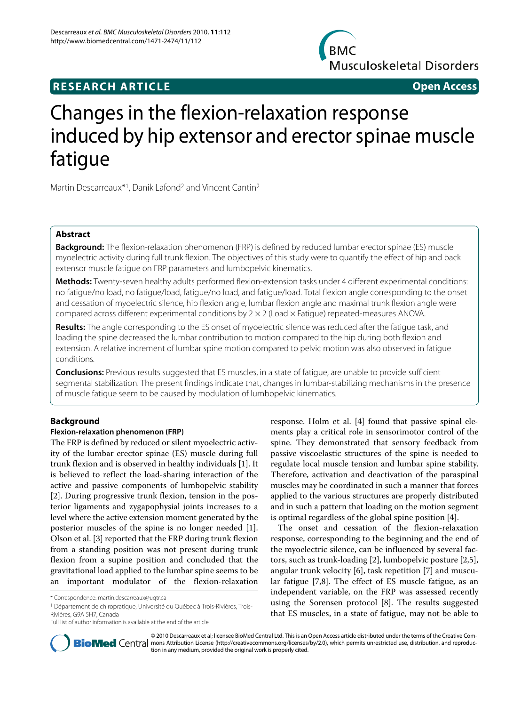# **BMC Musculoskeletal Disorders**

# **RESEARCH ARTICLE Open Access**

# Changes in the flexion-relaxation response induced by hip extensor and erector spinae muscle fatigue

Martin Descarreaux\*1, Danik Lafond2 and Vincent Cantin2

# **Abstract**

**Background:** The flexion-relaxation phenomenon (FRP) is defined by reduced lumbar erector spinae (ES) muscle myoelectric activity during full trunk flexion. The objectives of this study were to quantify the effect of hip and back extensor muscle fatigue on FRP parameters and lumbopelvic kinematics.

**Methods:** Twenty-seven healthy adults performed flexion-extension tasks under 4 different experimental conditions: no fatigue/no load, no fatigue/load, fatigue/no load, and fatigue/load. Total flexion angle corresponding to the onset and cessation of myoelectric silence, hip flexion angle, lumbar flexion angle and maximal trunk flexion angle were compared across different experimental conditions by 2 × 2 (Load × Fatigue) repeated-measures ANOVA.

**Results:** The angle corresponding to the ES onset of myoelectric silence was reduced after the fatigue task, and loading the spine decreased the lumbar contribution to motion compared to the hip during both flexion and extension. A relative increment of lumbar spine motion compared to pelvic motion was also observed in fatigue conditions.

**Conclusions:** Previous results suggested that ES muscles, in a state of fatigue, are unable to provide sufficient segmental stabilization. The present findings indicate that, changes in lumbar-stabilizing mechanisms in the presence of muscle fatigue seem to be caused by modulation of lumbopelvic kinematics.

# **Background**

# **Flexion-relaxation phenomenon (FRP)**

The FRP is defined by reduced or silent myoelectric activity of the lumbar erector spinae (ES) muscle during full trunk flexion and is observed in healthy individuals [[1](#page-6-0)]. It is believed to reflect the load-sharing interaction of the active and passive components of lumbopelvic stability [[2\]](#page-6-1). During progressive trunk flexion, tension in the posterior ligaments and zygapophysial joints increases to a level where the active extension moment generated by the posterior muscles of the spine is no longer needed [\[1](#page-6-0)]. Olson et al. [[3\]](#page-6-2) reported that the FRP during trunk flexion from a standing position was not present during trunk flexion from a supine position and concluded that the gravitational load applied to the lumbar spine seems to be an important modulator of the flexion-relaxation

1 Département de chiropratique, Université du Québec à Trois-Rivières, Trois-Rivières, G9A 5H7, Canada

response. Holm et al. [\[4](#page-6-3)] found that passive spinal elements play a critical role in sensorimotor control of the spine. They demonstrated that sensory feedback from passive viscoelastic structures of the spine is needed to regulate local muscle tension and lumbar spine stability. Therefore, activation and deactivation of the paraspinal muscles may be coordinated in such a manner that forces applied to the various structures are properly distributed and in such a pattern that loading on the motion segment is optimal regardless of the global spine position [\[4](#page-6-3)].

The onset and cessation of the flexion-relaxation response, corresponding to the beginning and the end of the myoelectric silence, can be influenced by several factors, such as trunk-loading [\[2](#page-6-1)], lumbopelvic posture [\[2](#page-6-1)[,5](#page-6-4)], angular trunk velocity [[6\]](#page-6-5), task repetition [\[7](#page-6-6)] and muscular fatigue [[7](#page-6-6),[8\]](#page-6-7). The effect of ES muscle fatigue, as an independent variable, on the FRP was assessed recently using the Sorensen protocol [\[8](#page-6-7)]. The results suggested that ES muscles, in a state of fatigue, may not be able to



© 2010 Descarreaux et al; licensee BioMed Central Ltd. This is an Open Access article distributed under the terms of the Creative Com-**BioMed** Central mons Attribution License (http://creativecommons.org/licenses/by/2.0), which permits unrestricted use, distribution, and reproduction in any medium, provided the original work is properly cited.

<sup>\*</sup> Correspondence: martin.descarreaux@uqtr.ca

Full list of author information is available at the end of the article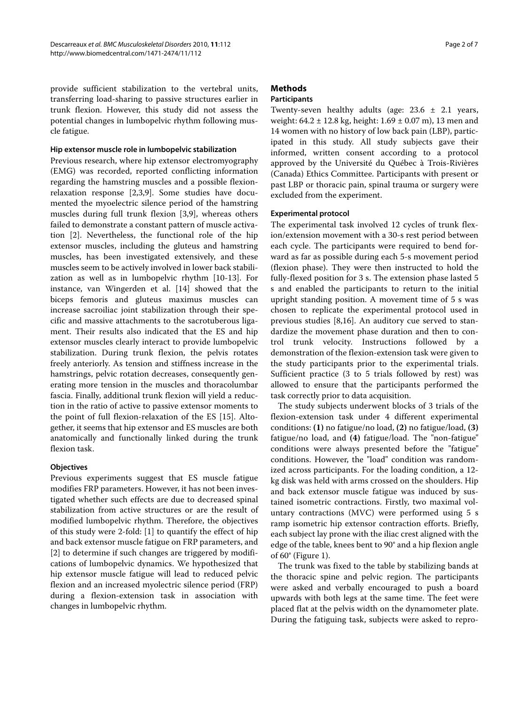provide sufficient stabilization to the vertebral units, transferring load-sharing to passive structures earlier in trunk flexion. However, this study did not assess the potential changes in lumbopelvic rhythm following muscle fatigue.

#### **Hip extensor muscle role in lumbopelvic stabilization**

Previous research, where hip extensor electromyography (EMG) was recorded, reported conflicting information regarding the hamstring muscles and a possible flexionrelaxation response [[2,](#page-6-1)[3,](#page-6-2)[9\]](#page-6-8). Some studies have documented the myoelectric silence period of the hamstring muscles during full trunk flexion [\[3](#page-6-2),[9\]](#page-6-8), whereas others failed to demonstrate a constant pattern of muscle activation [[2\]](#page-6-1). Nevertheless, the functional role of the hip extensor muscles, including the gluteus and hamstring muscles, has been investigated extensively, and these muscles seem to be actively involved in lower back stabilization as well as in lumbopelvic rhythm [\[10](#page-6-9)[-13](#page-6-10)]. For instance, van Wingerden et al. [[14\]](#page-6-11) showed that the biceps femoris and gluteus maximus muscles can increase sacroiliac joint stabilization through their specific and massive attachments to the sacrotuberous ligament. Their results also indicated that the ES and hip extensor muscles clearly interact to provide lumbopelvic stabilization. During trunk flexion, the pelvis rotates freely anteriorly. As tension and stiffness increase in the hamstrings, pelvic rotation decreases, consequently generating more tension in the muscles and thoracolumbar fascia. Finally, additional trunk flexion will yield a reduction in the ratio of active to passive extensor moments to the point of full flexion-relaxation of the ES [\[15\]](#page-6-12). Altogether, it seems that hip extensor and ES muscles are both anatomically and functionally linked during the trunk flexion task.

#### **Objectives**

Previous experiments suggest that ES muscle fatigue modifies FRP parameters. However, it has not been investigated whether such effects are due to decreased spinal stabilization from active structures or are the result of modified lumbopelvic rhythm. Therefore, the objectives of this study were 2-fold: [[1\]](#page-6-0) to quantify the effect of hip and back extensor muscle fatigue on FRP parameters, and [[2\]](#page-6-1) to determine if such changes are triggered by modifications of lumbopelvic dynamics. We hypothesized that hip extensor muscle fatigue will lead to reduced pelvic flexion and an increased myolectric silence period (FRP) during a flexion-extension task in association with changes in lumbopelvic rhythm.

# **Methods**

### **Participants**

Twenty-seven healthy adults (age:  $23.6 \pm 2.1$  years, weight: 64.2 ± 12.8 kg, height: 1.69 ± 0.07 m), 13 men and 14 women with no history of low back pain (LBP), participated in this study. All study subjects gave their informed, written consent according to a protocol approved by the Université du Québec à Trois-Rivières (Canada) Ethics Committee. Participants with present or past LBP or thoracic pain, spinal trauma or surgery were excluded from the experiment.

#### **Experimental protocol**

The experimental task involved 12 cycles of trunk flexion/extension movement with a 30-s rest period between each cycle. The participants were required to bend forward as far as possible during each 5-s movement period (flexion phase). They were then instructed to hold the fully-flexed position for 3 s. The extension phase lasted 5 s and enabled the participants to return to the initial upright standing position. A movement time of 5 s was chosen to replicate the experimental protocol used in previous studies [[8](#page-6-7),[16\]](#page-6-13). An auditory cue served to standardize the movement phase duration and then to control trunk velocity. Instructions followed by a demonstration of the flexion-extension task were given to the study participants prior to the experimental trials. Sufficient practice (3 to 5 trials followed by rest) was allowed to ensure that the participants performed the task correctly prior to data acquisition.

The study subjects underwent blocks of 3 trials of the flexion-extension task under 4 different experimental conditions: **(1)** no fatigue/no load, **(2)** no fatigue/load, **(3)** fatigue/no load, and **(4)** fatigue/load. The "non-fatigue" conditions were always presented before the "fatigue" conditions. However, the "load" condition was randomized across participants. For the loading condition, a 12 kg disk was held with arms crossed on the shoulders. Hip and back extensor muscle fatigue was induced by sustained isometric contractions. Firstly, two maximal voluntary contractions (MVC) were performed using 5 s ramp isometric hip extensor contraction efforts. Briefly, each subject lay prone with the iliac crest aligned with the edge of the table, knees bent to 90° and a hip flexion angle of 60° (Figure [1](#page-2-0)).

The trunk was fixed to the table by stabilizing bands at the thoracic spine and pelvic region. The participants were asked and verbally encouraged to push a board upwards with both legs at the same time. The feet were placed flat at the pelvis width on the dynamometer plate. During the fatiguing task, subjects were asked to repro-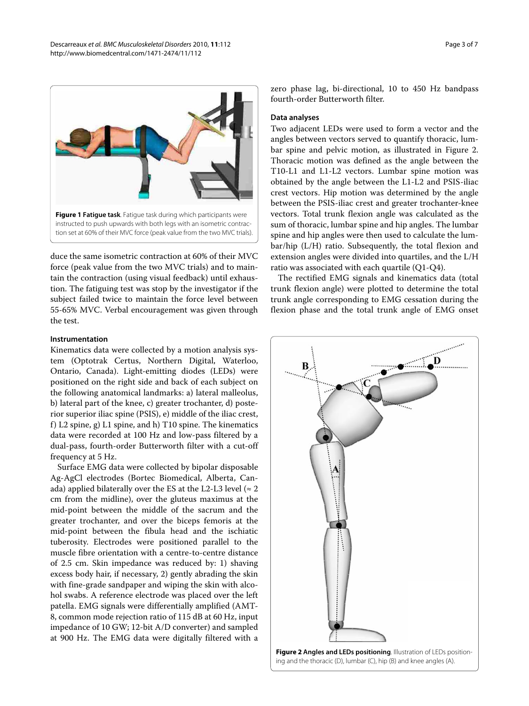<span id="page-2-0"></span>

duce the same isometric contraction at 60% of their MVC force (peak value from the two MVC trials) and to maintain the contraction (using visual feedback) until exhaustion. The fatiguing test was stop by the investigator if the subject failed twice to maintain the force level between 55-65% MVC. Verbal encouragement was given through the test.

#### **Instrumentation**

Kinematics data were collected by a motion analysis system (Optotrak Certus, Northern Digital, Waterloo, Ontario, Canada). Light-emitting diodes (LEDs) were positioned on the right side and back of each subject on the following anatomical landmarks: a) lateral malleolus, b) lateral part of the knee, c) greater trochanter, d) posterior superior iliac spine (PSIS), e) middle of the iliac crest, f) L2 spine, g) L1 spine, and h) T10 spine. The kinematics data were recorded at 100 Hz and low-pass filtered by a dual-pass, fourth-order Butterworth filter with a cut-off frequency at 5 Hz.

Surface EMG data were collected by bipolar disposable Ag-AgCl electrodes (Bortec Biomedical, Alberta, Canada) applied bilaterally over the ES at the L2-L3 level ( $\approx$  2 cm from the midline), over the gluteus maximus at the mid-point between the middle of the sacrum and the greater trochanter, and over the biceps femoris at the mid-point between the fibula head and the ischiatic tuberosity. Electrodes were positioned parallel to the muscle fibre orientation with a centre-to-centre distance of 2.5 cm. Skin impedance was reduced by: 1) shaving excess body hair, if necessary, 2) gently abrading the skin with fine-grade sandpaper and wiping the skin with alcohol swabs. A reference electrode was placed over the left patella. EMG signals were differentially amplified (AMT-8, common mode rejection ratio of 115 dB at 60 Hz, input impedance of 10 GW; 12-bit A/D converter) and sampled at 900 Hz. The EMG data were digitally filtered with a

zero phase lag, bi-directional, 10 to 450 Hz bandpass fourth-order Butterworth filter.

#### **Data analyses**

Two adjacent LEDs were used to form a vector and the angles between vectors served to quantify thoracic, lumbar spine and pelvic motion, as illustrated in Figure [2](#page-2-1). Thoracic motion was defined as the angle between the T10-L1 and L1-L2 vectors. Lumbar spine motion was obtained by the angle between the L1-L2 and PSIS-iliac crest vectors. Hip motion was determined by the angle between the PSIS-iliac crest and greater trochanter-knee vectors. Total trunk flexion angle was calculated as the sum of thoracic, lumbar spine and hip angles. The lumbar spine and hip angles were then used to calculate the lumbar/hip (L/H) ratio. Subsequently, the total flexion and extension angles were divided into quartiles, and the L/H ratio was associated with each quartile (Q1-Q4).

The rectified EMG signals and kinematics data (total trunk flexion angle) were plotted to determine the total trunk angle corresponding to EMG cessation during the flexion phase and the total trunk angle of EMG onset

<span id="page-2-1"></span>

ing and the thoracic (D), lumbar (C), hip (B) and knee angles (A).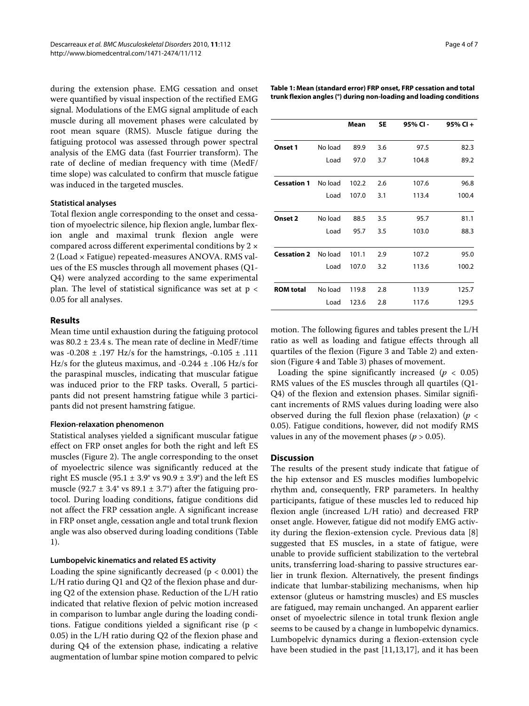during the extension phase. EMG cessation and onset were quantified by visual inspection of the rectified EMG signal. Modulations of the EMG signal amplitude of each muscle during all movement phases were calculated by root mean square (RMS). Muscle fatigue during the fatiguing protocol was assessed through power spectral analysis of the EMG data (fast Fourrier transform). The rate of decline of median frequency with time (MedF/ time slope) was calculated to confirm that muscle fatigue was induced in the targeted muscles.

#### **Statistical analyses**

Total flexion angle corresponding to the onset and cessation of myoelectric silence, hip flexion angle, lumbar flexion angle and maximal trunk flexion angle were compared across different experimental conditions by 2 × 2 (Load × Fatigue) repeated-measures ANOVA. RMS values of the ES muscles through all movement phases (Q1- Q4) were analyzed according to the same experimental plan. The level of statistical significance was set at  $p <$ 0.05 for all analyses.

#### **Results**

Mean time until exhaustion during the fatiguing protocol was 80.2 ± 23.4 s. The mean rate of decline in MedF/time was -0.208  $\pm$  .197 Hz/s for the hamstrings, -0.105  $\pm$  .111 Hz/s for the gluteus maximus, and  $-0.244 \pm .106$  Hz/s for the paraspinal muscles, indicating that muscular fatigue was induced prior to the FRP tasks. Overall, 5 participants did not present hamstring fatigue while 3 participants did not present hamstring fatigue.

#### **Flexion-relaxation phenomenon**

Statistical analyses yielded a significant muscular fatigue effect on FRP onset angles for both the right and left ES muscles (Figure [2\)](#page-2-1). The angle corresponding to the onset of myoelectric silence was significantly reduced at the right ES muscle (95.1  $\pm$  3.9° vs 90.9  $\pm$  3.9°) and the left ES muscle (92.7  $\pm$  3.4° vs 89.1  $\pm$  3.7°) after the fatiguing protocol. During loading conditions, fatigue conditions did not affect the FRP cessation angle. A significant increase in FRP onset angle, cessation angle and total trunk flexion angle was also observed during loading conditions (Table 1).

### **Lumbopelvic kinematics and related ES activity**

Loading the spine significantly decreased ( $p < 0.001$ ) the L/H ratio during Q1 and Q2 of the flexion phase and during Q2 of the extension phase. Reduction of the L/H ratio indicated that relative flexion of pelvic motion increased in comparison to lumbar angle during the loading conditions. Fatigue conditions yielded a significant rise (p < 0.05) in the L/H ratio during Q2 of the flexion phase and during Q4 of the extension phase, indicating a relative augmentation of lumbar spine motion compared to pelvic **Table 1: Mean (standard error) FRP onset, FRP cessation and total trunk flexion angles (°) during non-loading and loading conditions**

|                    |         | Mean  | <b>SE</b> | 95% CI- | 95% CI + |
|--------------------|---------|-------|-----------|---------|----------|
| Onset 1            | No load | 89.9  | 3.6       | 97.5    | 82.3     |
|                    | Load    | 97.0  | 3.7       | 104.8   | 89.2     |
| <b>Cessation 1</b> | No load | 102.2 | 2.6       | 107.6   | 96.8     |
|                    | Load    | 107.0 | 3.1       | 113.4   | 100.4    |
| Onset 2            | No load | 88.5  | 3.5       | 95.7    | 81.1     |
|                    | Load    | 95.7  | 3.5       | 103.0   | 88.3     |
| <b>Cessation 2</b> | No load | 101.1 | 2.9       | 107.2   | 95.0     |
|                    | Load    | 107.0 | 3.2       | 113.6   | 100.2    |
|                    |         |       |           |         |          |
| <b>ROM</b> total   | No load | 119.8 | 2.8       | 113.9   | 125.7    |
|                    | Load    | 123.6 | 2.8       | 117.6   | 129.5    |

motion. The following figures and tables present the L/H ratio as well as loading and fatigue effects through all quartiles of the flexion (Figure [3](#page-4-0) and Table 2) and extension (Figure [4](#page-5-0) and Table 3) phases of movement.

Loading the spine significantly increased  $(p < 0.05)$ RMS values of the ES muscles through all quartiles (Q1- Q4) of the flexion and extension phases. Similar significant increments of RMS values during loading were also observed during the full flexion phase (relaxation) (*p* < 0.05). Fatigue conditions, however, did not modify RMS values in any of the movement phases ( $p > 0.05$ ).

# **Discussion**

The results of the present study indicate that fatigue of the hip extensor and ES muscles modifies lumbopelvic rhythm and, consequently, FRP parameters. In healthy participants, fatigue of these muscles led to reduced hip flexion angle (increased L/H ratio) and decreased FRP onset angle. However, fatigue did not modify EMG activity during the flexion-extension cycle. Previous data [\[8](#page-6-7)] suggested that ES muscles, in a state of fatigue, were unable to provide sufficient stabilization to the vertebral units, transferring load-sharing to passive structures earlier in trunk flexion. Alternatively, the present findings indicate that lumbar-stabilizing mechanisms, when hip extensor (gluteus or hamstring muscles) and ES muscles are fatigued, may remain unchanged. An apparent earlier onset of myoelectric silence in total trunk flexion angle seems to be caused by a change in lumbopelvic dynamics. Lumbopelvic dynamics during a flexion-extension cycle have been studied in the past [[11](#page-6-14),[13](#page-6-10),[17\]](#page-6-15), and it has been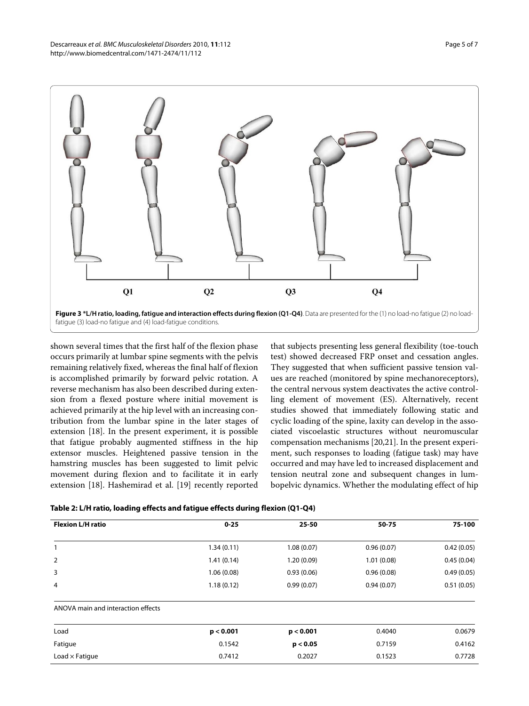<span id="page-4-0"></span>

shown several times that the first half of the flexion phase occurs primarily at lumbar spine segments with the pelvis remaining relatively fixed, whereas the final half of flexion is accomplished primarily by forward pelvic rotation. A reverse mechanism has also been described during extension from a flexed posture where initial movement is achieved primarily at the hip level with an increasing contribution from the lumbar spine in the later stages of extension [[18\]](#page-6-16). In the present experiment, it is possible that fatigue probably augmented stiffness in the hip extensor muscles. Heightened passive tension in the hamstring muscles has been suggested to limit pelvic movement during flexion and to facilitate it in early extension [[18](#page-6-16)]. Hashemirad et al. [\[19\]](#page-6-17) recently reported

that subjects presenting less general flexibility (toe-touch test) showed decreased FRP onset and cessation angles. They suggested that when sufficient passive tension values are reached (monitored by spine mechanoreceptors), the central nervous system deactivates the active controlling element of movement (ES). Alternatively, recent studies showed that immediately following static and cyclic loading of the spine, laxity can develop in the associated viscoelastic structures without neuromuscular compensation mechanisms [[20,](#page-6-18)[21\]](#page-6-19). In the present experiment, such responses to loading (fatigue task) may have occurred and may have led to increased displacement and tension neutral zone and subsequent changes in lumbopelvic dynamics. Whether the modulating effect of hip

| Table 2: L/H ratio, loading effects and fatigue effects during flexion (Q1-Q4) |  |  |  |
|--------------------------------------------------------------------------------|--|--|--|
|--------------------------------------------------------------------------------|--|--|--|

| <b>Flexion L/H ratio</b>           | $0 - 25$   | 25-50      | 50-75      | 75-100     |
|------------------------------------|------------|------------|------------|------------|
| $\mathbf{1}$                       | 1.34(0.11) | 1.08(0.07) | 0.96(0.07) | 0.42(0.05) |
| 2                                  | 1.41(0.14) | 1.20(0.09) | 1.01(0.08) | 0.45(0.04) |
| 3                                  | 1.06(0.08) | 0.93(0.06) | 0.96(0.08) | 0.49(0.05) |
| 4                                  | 1.18(0.12) | 0.99(0.07) | 0.94(0.07) | 0.51(0.05) |
| ANOVA main and interaction effects |            |            |            |            |
| Load                               | p < 0.001  | p < 0.001  | 0.4040     | 0.0679     |
| Fatigue                            | 0.1542     | p < 0.05   | 0.7159     | 0.4162     |
| Load $\times$ Fatigue              | 0.7412     | 0.2027     | 0.1523     | 0.7728     |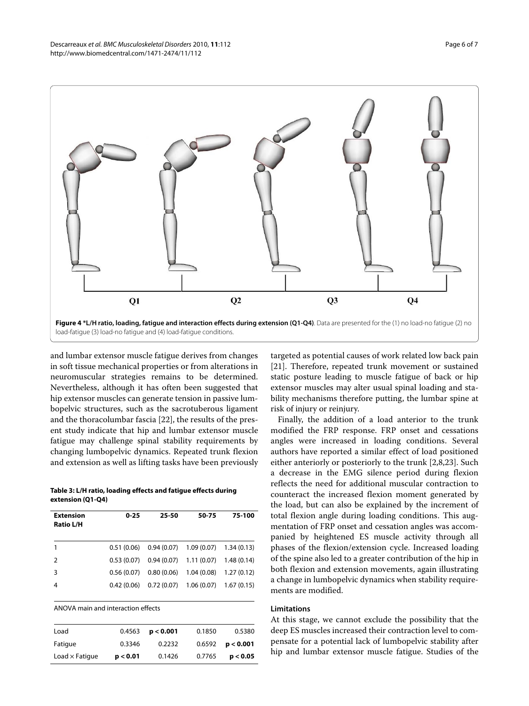<span id="page-5-0"></span>

and lumbar extensor muscle fatigue derives from changes in soft tissue mechanical properties or from alterations in neuromuscular strategies remains to be determined. Nevertheless, although it has often been suggested that hip extensor muscles can generate tension in passive lumbopelvic structures, such as the sacrotuberous ligament and the thoracolumbar fascia [\[22](#page-6-20)], the results of the present study indicate that hip and lumbar extensor muscle fatigue may challenge spinal stability requirements by changing lumbopelvic dynamics. Repeated trunk flexion and extension as well as lifting tasks have been previously

**Table 3: L/H ratio, loading effects and fatigue effects during extension (Q1-Q4)**

| <b>Extension</b><br><b>Ratio L/H</b> | $0 - 25$   | 25-50 | 50-75                                  | 75-100     |
|--------------------------------------|------------|-------|----------------------------------------|------------|
| 1                                    | 0.51(0.06) |       | $0.94(0.07)$ $1.09(0.07)$ $1.34(0.13)$ |            |
| $\mathcal{P}$                        | 0.53(0.07) |       | $0.94(0.07)$ 1.11 (0.07) 1.48 (0.14)   |            |
| 3                                    | 0.56(0.07) |       | $0.80(0.06)$ 1.04 (0.08)               | 1.27(0.12) |
| 4                                    | 0.42(0.06) |       | $0.72(0.07)$ 1.06 (0.07)               | 1.67(0.15) |

ANOVA main and interaction effects

| Load                  | 0.4563   | p < 0.001 | 0.1850 | 0.5380    |
|-----------------------|----------|-----------|--------|-----------|
| Fatigue               | 0.3346   | 0.2232    | 0.6592 | p < 0.001 |
| Load $\times$ Fatique | p < 0.01 | 0.1426    | 0.7765 | p < 0.05  |

targeted as potential causes of work related low back pain [[21\]](#page-6-19). Therefore, repeated trunk movement or sustained static posture leading to muscle fatigue of back or hip extensor muscles may alter usual spinal loading and stability mechanisms therefore putting, the lumbar spine at risk of injury or reinjury.

Finally, the addition of a load anterior to the trunk modified the FRP response. FRP onset and cessations angles were increased in loading conditions. Several authors have reported a similar effect of load positioned either anteriorly or posteriorly to the trunk [\[2](#page-6-1),[8,](#page-6-7)[23\]](#page-6-21). Such a decrease in the EMG silence period during flexion reflects the need for additional muscular contraction to counteract the increased flexion moment generated by the load, but can also be explained by the increment of total flexion angle during loading conditions. This augmentation of FRP onset and cessation angles was accompanied by heightened ES muscle activity through all phases of the flexion/extension cycle. Increased loading of the spine also led to a greater contribution of the hip in both flexion and extension movements, again illustrating a change in lumbopelvic dynamics when stability requirements are modified.

#### **Limitations**

At this stage, we cannot exclude the possibility that the deep ES muscles increased their contraction level to compensate for a potential lack of lumbopelvic stability after hip and lumbar extensor muscle fatigue. Studies of the